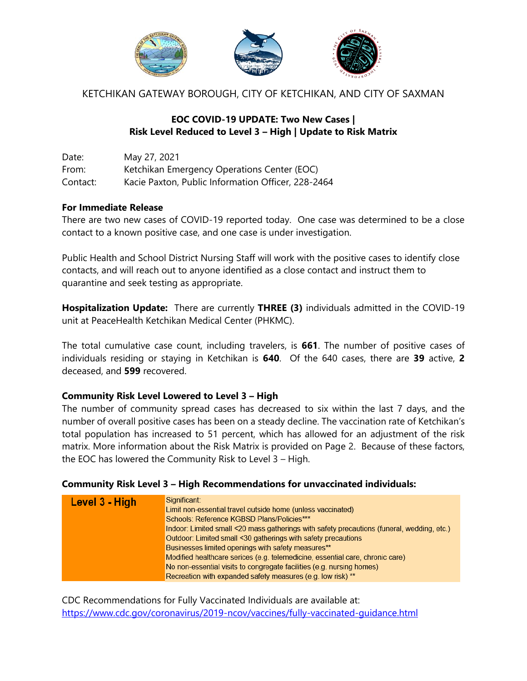

KETCHIKAN GATEWAY BOROUGH, CITY OF KETCHIKAN, AND CITY OF SAXMAN

# **EOC COVID-19 UPDATE: Two New Cases | Risk Level Reduced to Level 3 – High | Update to Risk Matrix**

Date: May 27, 2021 From: Ketchikan Emergency Operations Center (EOC) Contact: Kacie Paxton, Public Information Officer, 228-2464

### **For Immediate Release**

There are two new cases of COVID-19 reported today. One case was determined to be a close contact to a known positive case, and one case is under investigation.

Public Health and School District Nursing Staff will work with the positive cases to identify close contacts, and will reach out to anyone identified as a close contact and instruct them to quarantine and seek testing as appropriate.

**Hospitalization Update:** There are currently **THREE (3)** individuals admitted in the COVID-19 unit at PeaceHealth Ketchikan Medical Center (PHKMC).

The total cumulative case count, including travelers, is **661**. The number of positive cases of individuals residing or staying in Ketchikan is **640**. Of the 640 cases, there are **39** active, **2**  deceased, and **599** recovered.

### **Community Risk Level Lowered to Level 3 – High**

The number of community spread cases has decreased to six within the last 7 days, and the number of overall positive cases has been on a steady decline. The vaccination rate of Ketchikan's total population has increased to 51 percent, which has allowed for an adjustment of the risk matrix. More information about the Risk Matrix is provided on Page 2. Because of these factors, the EOC has lowered the Community Risk to Level 3 – High.

#### **Community Risk Level 3 – High Recommendations for unvaccinated individuals:**

| Level 3 - High | Significant:<br>Limit non-essential travel outside home (unless vaccinated)<br>Schools: Reference KGBSD Plans/Policies***<br>Indoor: Limited small <20 mass gatherings with safety precautions (funeral, wedding, etc.)<br>Outdoor: Limited small <30 gatherings with safety precautions<br>Businesses limited openings with safety measures**<br>Modified healthcare serices (e.g. telemedicine, essential care, chronic care) |
|----------------|---------------------------------------------------------------------------------------------------------------------------------------------------------------------------------------------------------------------------------------------------------------------------------------------------------------------------------------------------------------------------------------------------------------------------------|
|                | No non-essential visits to congregate facilities (e.g. nursing homes)<br>Recreation with expanded safety measures (e.g. low risk) **                                                                                                                                                                                                                                                                                            |

CDC Recommendations for Fully Vaccinated Individuals are available at: <https://www.cdc.gov/coronavirus/2019-ncov/vaccines/fully-vaccinated-guidance.html>